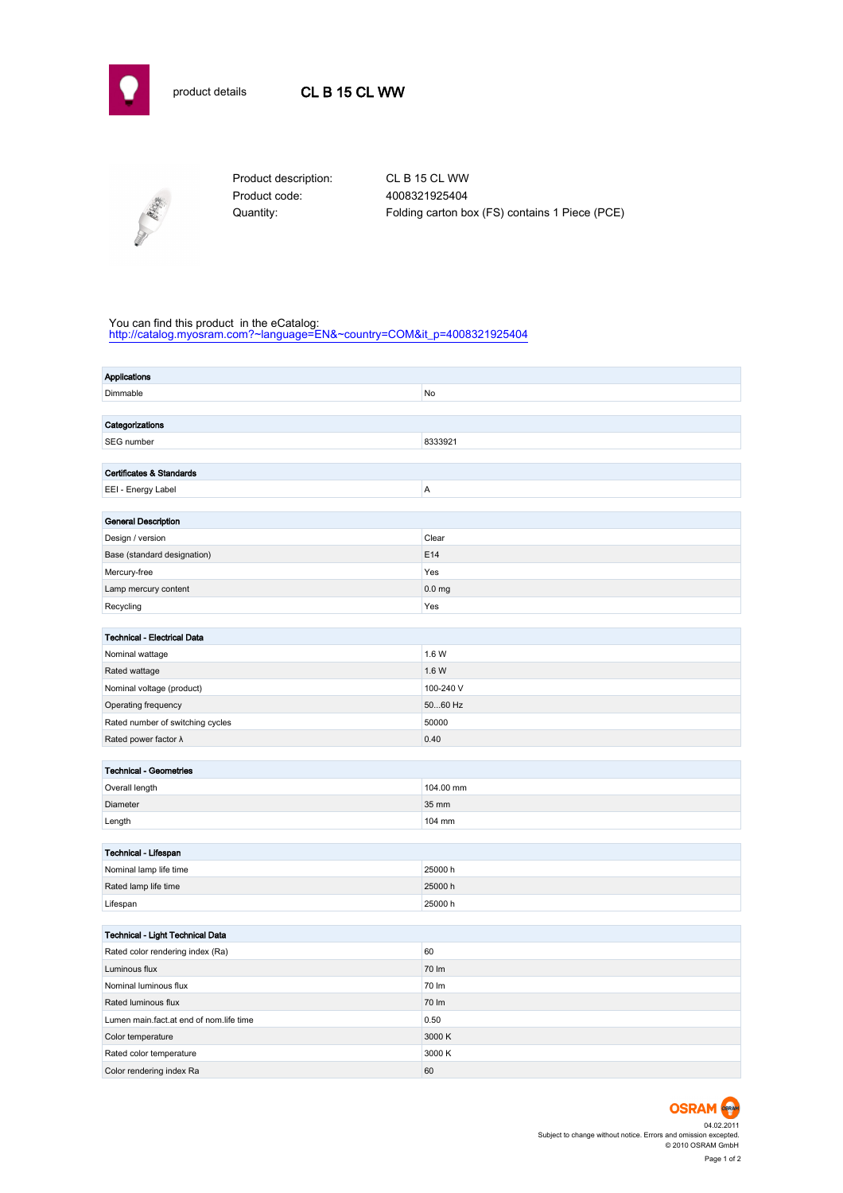



Product code: 4008321925404

Product description: CL B 15 CL WW Quantity: Folding carton box (FS) contains 1 Piece (PCE)

## You can find this product in the eCatalog:

[http://catalog.myosram.com?~language=EN&~country=COM&it\\_p=4008321925404](http://catalog.myosram.com?~language=EN&~country=COM&it_p=4008321925404)

| <b>Applications</b>                             |  |  |  |  |  |  |  |
|-------------------------------------------------|--|--|--|--|--|--|--|
| Dimmable<br>No                                  |  |  |  |  |  |  |  |
|                                                 |  |  |  |  |  |  |  |
| Categorizations                                 |  |  |  |  |  |  |  |
| 8333921<br>SEG number                           |  |  |  |  |  |  |  |
|                                                 |  |  |  |  |  |  |  |
| Certificates & Standards                        |  |  |  |  |  |  |  |
| Α<br>EEI - Energy Label                         |  |  |  |  |  |  |  |
|                                                 |  |  |  |  |  |  |  |
| <b>General Description</b>                      |  |  |  |  |  |  |  |
| Design / version<br>Clear                       |  |  |  |  |  |  |  |
| E14<br>Base (standard designation)              |  |  |  |  |  |  |  |
| Yes<br>Mercury-free                             |  |  |  |  |  |  |  |
| Lamp mercury content<br>0.0 <sub>mg</sub>       |  |  |  |  |  |  |  |
| Recycling<br>Yes                                |  |  |  |  |  |  |  |
|                                                 |  |  |  |  |  |  |  |
| <b>Technical - Electrical Data</b>              |  |  |  |  |  |  |  |
| 1.6 W<br>Nominal wattage                        |  |  |  |  |  |  |  |
| 1.6 W<br>Rated wattage                          |  |  |  |  |  |  |  |
| 100-240 V<br>Nominal voltage (product)          |  |  |  |  |  |  |  |
| 5060 Hz<br>Operating frequency                  |  |  |  |  |  |  |  |
| 50000<br>Rated number of switching cycles       |  |  |  |  |  |  |  |
| Rated power factor $\lambda$<br>0.40            |  |  |  |  |  |  |  |
|                                                 |  |  |  |  |  |  |  |
| <b>Technical - Geometries</b><br>104.00 mm      |  |  |  |  |  |  |  |
| Overall length                                  |  |  |  |  |  |  |  |
| Diameter<br>35 mm                               |  |  |  |  |  |  |  |
| 104 mm<br>Length                                |  |  |  |  |  |  |  |
| Technical - Lifespan                            |  |  |  |  |  |  |  |
| Nominal lamp life time<br>25000h                |  |  |  |  |  |  |  |
| 25000h<br>Rated lamp life time                  |  |  |  |  |  |  |  |
| 25000 h                                         |  |  |  |  |  |  |  |
| Lifespan                                        |  |  |  |  |  |  |  |
| Technical - Light Technical Data                |  |  |  |  |  |  |  |
| 60<br>Rated color rendering index (Ra)          |  |  |  |  |  |  |  |
| 70 lm<br>Luminous flux                          |  |  |  |  |  |  |  |
| Nominal luminous flux<br>70 lm                  |  |  |  |  |  |  |  |
| Rated luminous flux<br>70 lm                    |  |  |  |  |  |  |  |
| 0.50<br>Lumen main.fact.at end of nom.life time |  |  |  |  |  |  |  |
| 3000 K<br>Color temperature                     |  |  |  |  |  |  |  |
| 3000K<br>Rated color temperature                |  |  |  |  |  |  |  |
| Color rendering index Ra<br>60                  |  |  |  |  |  |  |  |